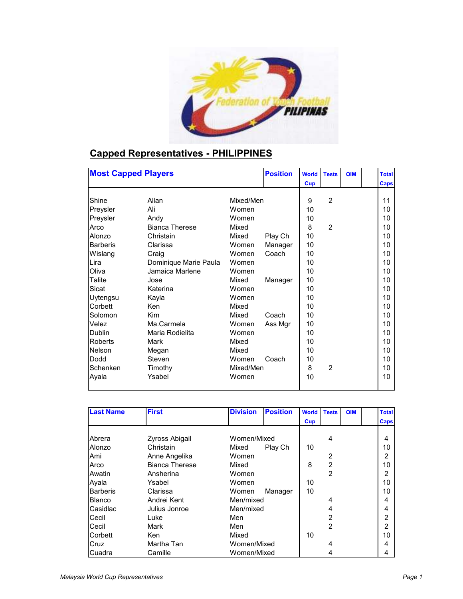

## **Capped Representatives - PHILIPPINES**

| <b>Most Capped Players</b> |                       |           | <b>Position</b> | <b>World</b> | <b>Tests</b>   | <b>OIM</b> | <b>Total</b> |
|----------------------------|-----------------------|-----------|-----------------|--------------|----------------|------------|--------------|
|                            |                       |           |                 | Cup          |                |            | <b>Caps</b>  |
|                            |                       |           |                 |              |                |            |              |
| Shine                      | Allan                 | Mixed/Men |                 | 9            | $\overline{2}$ |            | 11           |
| Preysler                   | Ali                   | Women     |                 | 10           |                |            | 10           |
| Preysler                   | Andy                  | Women     |                 | 10           |                |            | 10           |
| Arco                       | <b>Bianca Therese</b> | Mixed     |                 | 8            | $\overline{2}$ |            | 10           |
| Alonzo                     | Christain             | Mixed     | Play Ch         | 10           |                |            | 10           |
| <b>Barberis</b>            | Clarissa              | Women     | Manager         | 10           |                |            | 10           |
| Wislang                    | Craig                 | Women     | Coach           | 10           |                |            | 10           |
| Lira                       | Dominique Marie Paula | Women     |                 | 10           |                |            | 10           |
| Oliva                      | Jamaica Marlene       | Women     |                 | 10           |                |            | 10           |
| Talite                     | Jose                  | Mixed     | Manager         | 10           |                |            | 10           |
| Sicat                      | Katerina              | Women     |                 | 10           |                |            | 10           |
| Uytengsu                   | Kayla                 | Women     |                 | 10           |                |            | 10           |
| Corbett                    | Ken                   | Mixed     |                 | 10           |                |            | 10           |
| Solomon                    | Kim                   | Mixed     | Coach           | 10           |                |            | 10           |
| Velez                      | Ma.Carmela            | Women     | Ass Mgr         | 10           |                |            | 10           |
| <b>Dublin</b>              | Maria Rodielita       | Women     |                 | 10           |                |            | 10           |
| <b>Roberts</b>             | Mark                  | Mixed     |                 | 10           |                |            | 10           |
| Nelson                     | Megan                 | Mixed     |                 | 10           |                |            | 10           |
| Dodd                       | Steven                | Women     | Coach           | 10           |                |            | 10           |
| Schenken                   | Timothy               | Mixed/Men |                 | 8            | $\overline{2}$ |            | 10           |
| Ayala                      | Ysabel                | Women     |                 | 10           |                |            | 10           |
|                            |                       |           |                 |              |                |            |              |

| <b>Last Name</b> | <b>First</b>          | <b>Position</b><br><b>Division</b> | <b>World</b> | <b>Tests</b>   | <b>OIM</b> | <b>Total</b>  |
|------------------|-----------------------|------------------------------------|--------------|----------------|------------|---------------|
|                  |                       |                                    | Cup          |                |            | Caps          |
|                  |                       |                                    |              |                |            |               |
| Abrera           | Zyross Abigail        | Women/Mixed                        |              | 4              |            |               |
| Alonzo           | Christain             | Play Ch<br>Mixed                   | 10           |                |            | 10            |
| Ami              | Anne Angelika         | Women                              |              | 2              |            | 2             |
| Arco             | <b>Bianca Therese</b> | Mixed                              | 8            | $\overline{2}$ |            | 10            |
| Awatin           | Ansherina             | Women                              |              | $\overline{2}$ |            | $\mathcal{P}$ |
| Ayala            | Ysabel                | Women                              | 10           |                |            | 10            |
| <b>Barberis</b>  | Clarissa              | Women<br>Manager                   | 10           |                |            | 10            |
| <b>Blanco</b>    | Andrei Kent           | Men/mixed                          |              | 4              |            | 4             |
| Casidlac         | Julius Jonroe         | Men/mixed                          |              | 4              |            |               |
| Cecil            | Luke                  | Men                                |              | 2              |            | 2             |
| Cecil            | Mark                  | Men                                |              | $\mathfrak{p}$ |            | 2             |
| Corbett          | Ken                   | Mixed                              | 10           |                |            | 10            |
| Cruz             | Martha Tan            | Women/Mixed                        |              | 4              |            |               |
| Cuadra           | Camille               | Women/Mixed                        |              | 4              |            |               |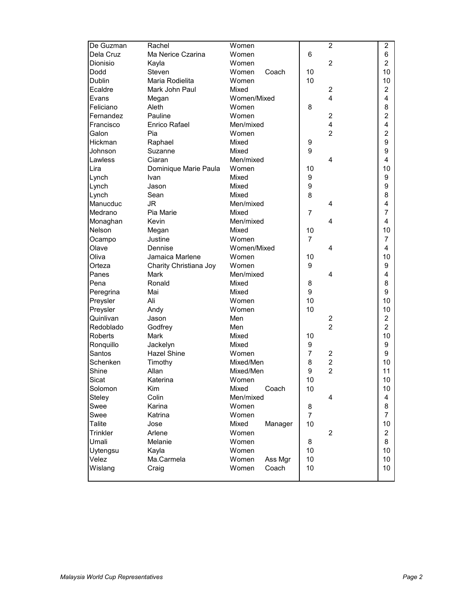| De Guzman      | Rachel                 | Women            |                | $\overline{2}$          | $\overline{2}$ |
|----------------|------------------------|------------------|----------------|-------------------------|----------------|
| Dela Cruz      | Ma Nerice Czarina      | Women            | 6              |                         | 6              |
| Dionisio       | Kayla                  | Women            |                | $\overline{c}$          | 2              |
| Dodd           | Steven                 | Women<br>Coach   | 10             |                         | 10             |
| <b>Dublin</b>  | Maria Rodielita        | Women            | 10             |                         | 10             |
| Ecaldre        | Mark John Paul         | Mixed            |                | $\overline{c}$          | 2              |
| Evans          | Megan                  | Women/Mixed      |                | 4                       | 4              |
| Feliciano      | Aleth                  | Women            | 8              |                         | 8              |
| Fernandez      | Pauline                | Women            |                | $\overline{c}$          | 2              |
| Francisco      | <b>Enrico Rafael</b>   | Men/mixed        |                | 4                       | 4              |
| Galon          | Pia                    | Women            |                | $\overline{2}$          | 2              |
| Hickman        | Raphael                | Mixed            | 9              |                         | 9              |
| Johnson        | Suzanne                | Mixed            | 9              |                         | 9              |
| Lawless        | Ciaran                 | Men/mixed        |                | 4                       | 4              |
| Lira           | Dominique Marie Paula  | Women            | 10             |                         | 10             |
| Lynch          | Ivan                   | Mixed            | 9              |                         | 9              |
| Lynch          | Jason                  | Mixed            | 9              |                         | 9              |
| Lynch          | Sean                   | Mixed            | 8              |                         | 8              |
| Manucduc       | JR                     | Men/mixed        |                | 4                       | 4              |
| Medrano        | Pia Marie              | Mixed            | 7              |                         | 7              |
| Monaghan       | Kevin                  | Men/mixed        |                | 4                       | 4              |
| Nelson         | Megan                  | Mixed            | 10             |                         | 10             |
| Ocampo         | Justine                | Women            | $\overline{7}$ |                         | 7              |
| Olave          | Dennise                | Women/Mixed      |                | 4                       | 4              |
| Oliva          | Jamaica Marlene        | Women            | 10             |                         | 10             |
| Orteza         | Charity Christiana Joy | Women            | 9              |                         | 9              |
| Panes          | Mark                   | Men/mixed        |                | 4                       | 4              |
| Pena           | Ronald                 | Mixed            | 8              |                         | 8              |
| Peregrina      | Mai                    | Mixed            | 9              |                         | 9              |
| Preysler       | Ali                    | Women            | 10             |                         | 10             |
| Preysler       | Andy                   | Women            | 10             |                         | 10             |
| Quinlivan      | Jason                  | Men              |                | 2                       | 2              |
| Redoblado      | Godfrey                | Men              |                | $\overline{c}$          | $\overline{c}$ |
| <b>Roberts</b> | Mark                   | Mixed            | 10             |                         | 10             |
| Ronquillo      | Jackelyn               | Mixed            | 9              |                         | 9              |
| Santos         | <b>Hazel Shine</b>     | Women            | $\overline{7}$ | 2                       | 9              |
| Schenken       | Timothy                | Mixed/Men        | 8              | $\overline{\mathbf{c}}$ | 10             |
| Shine          | Allan                  | Mixed/Men        | 9              | $\overline{2}$          | 11             |
| Sicat          | Katerina               | Women            | 10             |                         | $10$           |
| Solomon        | Kim                    | Mixed<br>Coach   | 10             |                         | 10             |
| Steley         | Colin                  | Men/mixed        |                | 4                       | 4              |
| Swee           | Karina                 | Women            | 8              |                         | 8              |
| Swee           | Katrina                | Women            | $\overline{7}$ |                         | 7              |
| Talite         | Jose                   | Mixed<br>Manager | 10             |                         | 10             |
| Trinkler       | Arlene                 | Women            |                | $\overline{c}$          | $\overline{2}$ |
| Umali          | Melanie                | Women            | 8              |                         | 8              |
| Uytengsu       | Kayla                  | Women            | 10             |                         | 10             |
| Velez          | Ma.Carmela             | Women<br>Ass Mgr | 10             |                         | 10             |
| Wislang        | Craig                  | Women<br>Coach   | 10             |                         | 10             |
|                |                        |                  |                |                         |                |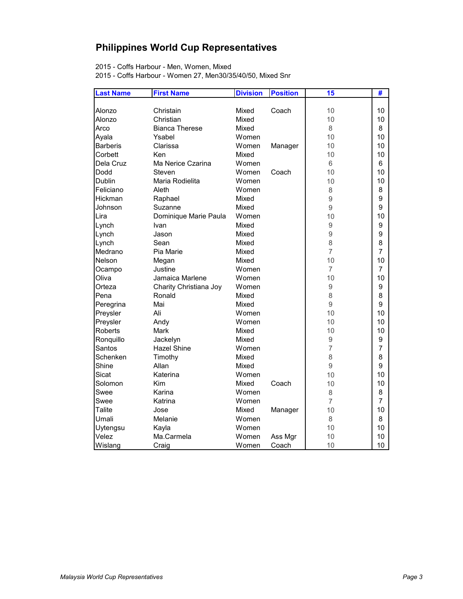## **Philippines World Cup Representatives**

2015 - Coffs Harbour - Men, Women, Mixed

2015 - Coffs Harbour - Women 27, Men30/35/40/50, Mixed Snr

| <b>Last Name</b> | <b>First Name</b>      | <b>Division</b> | <b>Position</b> | 15             | #              |
|------------------|------------------------|-----------------|-----------------|----------------|----------------|
|                  |                        |                 |                 |                |                |
| Alonzo           | Christain              | Mixed           | Coach           | 10             | 10             |
| Alonzo           | Christian              | Mixed           |                 | 10             | 10             |
| Arco             | <b>Bianca Therese</b>  | Mixed           |                 | 8              | 8              |
| Ayala            | Ysabel                 | Women           |                 | 10             | 10             |
| <b>Barberis</b>  | Clarissa               | Women           | Manager         | 10             | 10             |
| Corbett          | Ken                    | Mixed           |                 | 10             | 10             |
| Dela Cruz        | Ma Nerice Czarina      | Women           |                 | 6              | 6              |
| Dodd             | Steven                 | Women           | Coach           | 10             | 10             |
| Dublin           | Maria Rodielita        | Women           |                 | 10             | 10             |
| Feliciano        | Aleth                  | Women           |                 | 8              | 8              |
| Hickman          | Raphael                | Mixed           |                 | 9              | 9              |
| Johnson          | Suzanne                | Mixed           |                 | $\hbox{9}$     | 9              |
| Lira             | Dominique Marie Paula  | Women           |                 | 10             | 10             |
| Lynch            | Ivan                   | Mixed           |                 | 9              | 9              |
| Lynch            | Jason                  | Mixed           |                 | 9              | 9              |
| Lynch            | Sean                   | Mixed           |                 | 8              | 8              |
| Medrano          | Pia Marie              | Mixed           |                 | $\overline{7}$ | $\overline{7}$ |
| Nelson           | Megan                  | Mixed           |                 | 10             | 10             |
| Ocampo           | Justine                | Women           |                 | $\overline{7}$ | $\overline{7}$ |
| Oliva            | Jamaica Marlene        | Women           |                 | 10             | 10             |
| Orteza           | Charity Christiana Joy | Women           |                 | $\overline{9}$ | 9              |
| Pena             | Ronald                 | Mixed           |                 | 8              | 8              |
| Peregrina        | Mai                    | Mixed           |                 | $\overline{9}$ | 9              |
| Preysler         | Ali                    | Women           |                 | 10             | 10             |
| Preysler         | Andy                   | Women           |                 | 10             | 10             |
| Roberts          | Mark                   | Mixed           |                 | 10             | 10             |
| Ronquillo        | Jackelyn               | Mixed           |                 | $\hbox{9}$     | 9              |
| Santos           | <b>Hazel Shine</b>     | Women           |                 | $\overline{7}$ | $\overline{7}$ |
| Schenken         | Timothy                | Mixed           |                 | 8              | 8              |
| Shine            | Allan                  | Mixed           |                 | 9              | 9              |
| Sicat            | Katerina               | Women           |                 | 10             | 10             |
| Solomon          | Kim                    | Mixed           | Coach           | 10             | 10             |
| Swee             | Karina                 | Women           |                 | 8              | 8              |
| Swee             | Katrina                | Women           |                 | 7              | $\overline{7}$ |
| <b>Talite</b>    | Jose                   | Mixed           | Manager         | 10             | 10             |
| Umali            | Melanie                | Women           |                 | 8              | 8              |
| Uytengsu         | Kayla                  | Women           |                 | 10             | 10             |
| Velez            | Ma.Carmela             | Women           | Ass Mgr         | 10             | 10             |
| Wislang          | Craig                  | Women           | Coach           | 10             | 10             |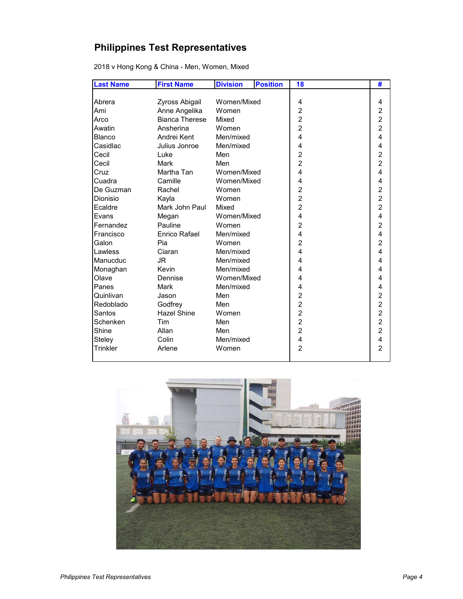## **Philippines Test Representatives**

| <b>Last Name</b> | <b>First Name</b>     | <b>Division</b> | <b>Position</b> | 18                      | #                       |
|------------------|-----------------------|-----------------|-----------------|-------------------------|-------------------------|
|                  |                       |                 |                 |                         |                         |
| Abrera           | Zyross Abigail        | Women/Mixed     |                 | 4                       | 4                       |
| Ami              | Anne Angelika         | Women           |                 | $\overline{c}$          | $\overline{\mathbf{c}}$ |
| Arco             | <b>Bianca Therese</b> | Mixed           |                 | $\overline{c}$          | $\overline{c}$          |
| Awatin           | Ansherina             | Women           |                 | $\overline{2}$          | $\overline{a}$          |
| <b>Blanco</b>    | Andrei Kent           | Men/mixed       |                 | $\overline{\mathbf{4}}$ | 4                       |
| Casidlac         | Julius Jonroe         | Men/mixed       |                 | 4                       | 4                       |
| Cecil            | Luke                  | Men             |                 | $\overline{2}$          | $\overline{c}$          |
| Cecil            | Mark                  | Men             |                 | $\overline{2}$          | $\overline{c}$          |
| Cruz             | Martha Tan            | Women/Mixed     |                 | 4                       | 4                       |
| Cuadra           | Camille               | Women/Mixed     |                 | 4                       | 4                       |
| De Guzman        | Rachel                | Women           |                 | $\overline{c}$          | $\overline{\mathbf{c}}$ |
| Dionisio         | Kayla                 | Women           |                 | $\overline{2}$          | $\overline{c}$          |
| Ecaldre          | Mark John Paul        | Mixed           |                 | $\overline{2}$          | $\overline{2}$          |
| Evans            | Megan                 | Women/Mixed     |                 | 4                       | 4                       |
| Fernandez        | Pauline               | Women           |                 | $\overline{2}$          | $\overline{2}$          |
| Francisco        | <b>Enrico Rafael</b>  | Men/mixed       |                 | 4                       | 4                       |
| Galon            | Pia                   | Women           |                 | $\overline{2}$          | $\overline{c}$          |
| Lawless          | Ciaran                | Men/mixed       |                 | $\overline{\mathbf{4}}$ | 4                       |
| Manucduc         | <b>JR</b>             | Men/mixed       |                 | 4                       | 4                       |
| Monaghan         | Kevin                 | Men/mixed       |                 | 4                       | 4                       |
| Olave            | Dennise               | Women/Mixed     |                 | 4                       | 4                       |
| Panes            | Mark                  | Men/mixed       |                 | 4                       | 4                       |
| Quinlivan        | Jason                 | Men             |                 | $\overline{c}$          | $\overline{\mathbf{c}}$ |
| Redoblado        | Godfrey               | Men             |                 | $\overline{2}$          | $\overline{2}$          |
| Santos           | <b>Hazel Shine</b>    | Women           |                 | $\overline{c}$          | $\overline{a}$          |
| Schenken         | Tim                   | Men             |                 | $\overline{c}$          | $\overline{a}$          |
| Shine            | Allan                 | Men             |                 | $\overline{2}$          | $\overline{2}$          |
| Steley           | Colin                 | Men/mixed       |                 | 4                       | 4                       |
| Trinkler         | Arlene                | Women           |                 | $\overline{2}$          | $\overline{2}$          |

2018 v Hong Kong & China - Men, Women, Mixed